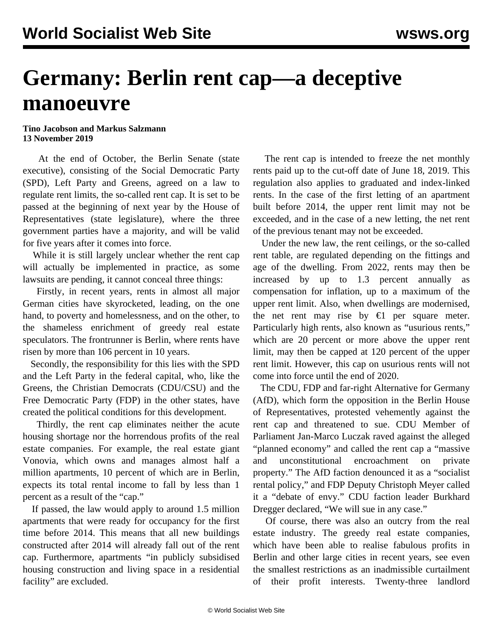## **Germany: Berlin rent cap—a deceptive manoeuvre**

## **Tino Jacobson and Markus Salzmann 13 November 2019**

 At the end of October, the Berlin Senate (state executive), consisting of the Social Democratic Party (SPD), Left Party and Greens, agreed on a law to regulate rent limits, the so-called rent cap. It is set to be passed at the beginning of next year by the House of Representatives (state legislature), where the three government parties have a majority, and will be valid for five years after it comes into force.

 While it is still largely unclear whether the rent cap will actually be implemented in practice, as some lawsuits are pending, it cannot conceal three things:

 Firstly, in recent years, rents in almost all major German cities have skyrocketed, leading, on the one hand, to poverty and homelessness, and on the other, to the shameless enrichment of greedy real estate speculators. The frontrunner is Berlin, where rents have risen by more than 106 percent in 10 years.

 Secondly, the responsibility for this lies with the SPD and the Left Party in the federal capital, who, like the Greens, the Christian Democrats (CDU/CSU) and the Free Democratic Party (FDP) in the other states, have created the political conditions for this development.

 Thirdly, the rent cap eliminates neither the acute housing shortage nor the horrendous profits of the real estate companies. For example, the real estate giant Vonovia, which owns and manages almost half a million apartments, 10 percent of which are in Berlin, expects its total rental income to fall by less than 1 percent as a result of the "cap."

 If passed, the law would apply to around 1.5 million apartments that were ready for occupancy for the first time before 2014. This means that all new buildings constructed after 2014 will already fall out of the rent cap. Furthermore, apartments "in publicly subsidised housing construction and living space in a residential facility" are excluded.

 The rent cap is intended to freeze the net monthly rents paid up to the cut-off date of June 18, 2019. This regulation also applies to graduated and index-linked rents. In the case of the first letting of an apartment built before 2014, the upper rent limit may not be exceeded, and in the case of a new letting, the net rent of the previous tenant may not be exceeded.

 Under the new law, the rent ceilings, or the so-called rent table, are regulated depending on the fittings and age of the dwelling. From 2022, rents may then be increased by up to 1.3 percent annually as compensation for inflation, up to a maximum of the upper rent limit. Also, when dwellings are modernised, the net rent may rise by  $\epsilon$ 1 per square meter. Particularly high rents, also known as "usurious rents," which are 20 percent or more above the upper rent limit, may then be capped at 120 percent of the upper rent limit. However, this cap on usurious rents will not come into force until the end of 2020.

 The CDU, FDP and far-right Alternative for Germany (AfD), which form the opposition in the Berlin House of Representatives, protested vehemently against the rent cap and threatened to sue. CDU Member of Parliament Jan-Marco Luczak raved against the alleged "planned economy" and called the rent cap a "massive and unconstitutional encroachment on private property." The AfD faction denounced it as a "socialist rental policy," and FDP Deputy Christoph Meyer called it a "debate of envy." CDU faction leader Burkhard Dregger declared, "We will sue in any case."

 Of course, there was also an outcry from the real estate industry. The greedy real estate companies, which have been able to realise fabulous profits in Berlin and other large cities in recent years, see even the smallest restrictions as an inadmissible curtailment of their profit interests. Twenty-three landlord